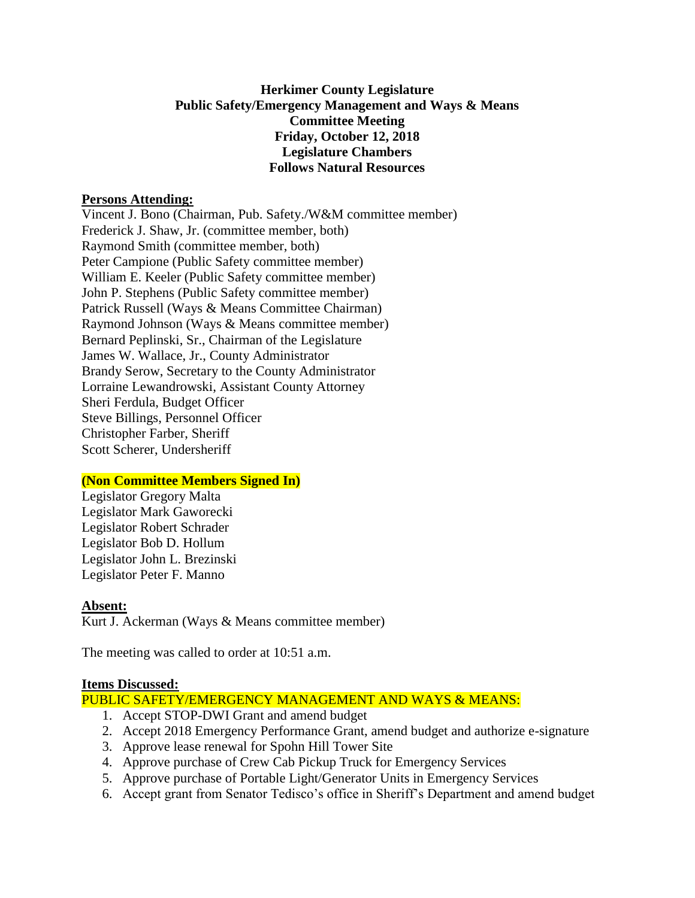# **Herkimer County Legislature Public Safety/Emergency Management and Ways & Means Committee Meeting Friday, October 12, 2018 Legislature Chambers Follows Natural Resources**

### **Persons Attending:**

Vincent J. Bono (Chairman, Pub. Safety./W&M committee member) Frederick J. Shaw, Jr. (committee member, both) Raymond Smith (committee member, both) Peter Campione (Public Safety committee member) William E. Keeler (Public Safety committee member) John P. Stephens (Public Safety committee member) Patrick Russell (Ways & Means Committee Chairman) Raymond Johnson (Ways & Means committee member) Bernard Peplinski, Sr., Chairman of the Legislature James W. Wallace, Jr., County Administrator Brandy Serow, Secretary to the County Administrator Lorraine Lewandrowski, Assistant County Attorney Sheri Ferdula, Budget Officer Steve Billings, Personnel Officer Christopher Farber, Sheriff Scott Scherer, Undersheriff

# **(Non Committee Members Signed In)**

Legislator Gregory Malta Legislator Mark Gaworecki Legislator Robert Schrader Legislator Bob D. Hollum Legislator John L. Brezinski Legislator Peter F. Manno

#### **Absent:**

Kurt J. Ackerman (Ways & Means committee member)

The meeting was called to order at 10:51 a.m.

#### **Items Discussed:**

PUBLIC SAFETY/EMERGENCY MANAGEMENT AND WAYS & MEANS:

- 1. Accept STOP-DWI Grant and amend budget
- 2. Accept 2018 Emergency Performance Grant, amend budget and authorize e-signature
- 3. Approve lease renewal for Spohn Hill Tower Site
- 4. Approve purchase of Crew Cab Pickup Truck for Emergency Services
- 5. Approve purchase of Portable Light/Generator Units in Emergency Services
- 6. Accept grant from Senator Tedisco's office in Sheriff's Department and amend budget